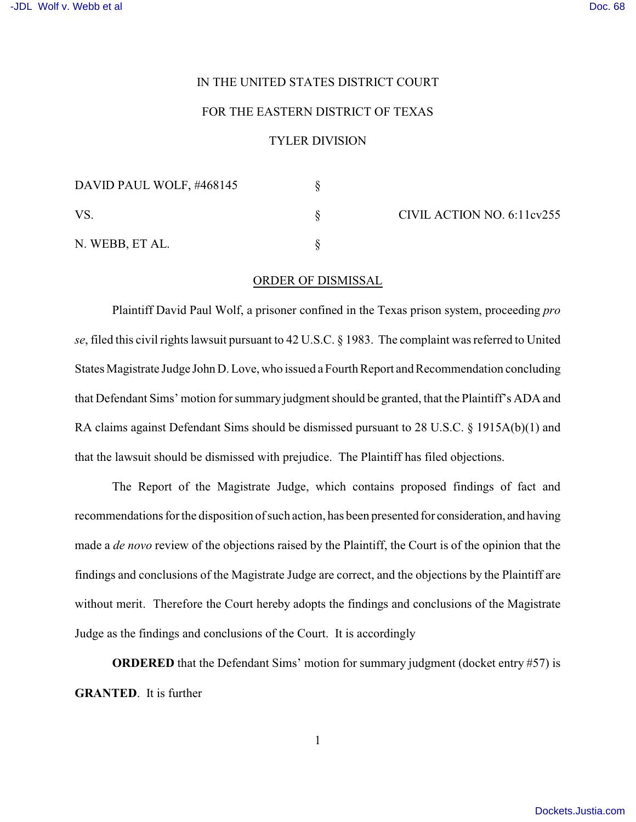## IN THE UNITED STATES DISTRICT COURT

## FOR THE EASTERN DISTRICT OF TEXAS

## TYLER DIVISION

| DAVID PAUL WOLF, #468145 |  | CIVIL ACTION NO. 6:11cv255 |
|--------------------------|--|----------------------------|
| VS                       |  |                            |
| N. WEBB, ET AL.          |  |                            |

## ORDER OF DISMISSAL

Plaintiff David Paul Wolf, a prisoner confined in the Texas prison system, proceeding *pro se*, filed this civil rights lawsuit pursuant to 42 U.S.C. § 1983. The complaint was referred to United States Magistrate Judge JohnD. Love, who issued a Fourth Report and Recommendation concluding that Defendant Sims' motion for summary judgment should be granted, that the Plaintiff's ADA and RA claims against Defendant Sims should be dismissed pursuant to 28 U.S.C. § 1915A(b)(1) and that the lawsuit should be dismissed with prejudice. The Plaintiff has filed objections.

The Report of the Magistrate Judge, which contains proposed findings of fact and recommendations for the disposition of such action, has been presented for consideration, and having made a *de novo* review of the objections raised by the Plaintiff, the Court is of the opinion that the findings and conclusions of the Magistrate Judge are correct, and the objections by the Plaintiff are without merit. Therefore the Court hereby adopts the findings and conclusions of the Magistrate Judge as the findings and conclusions of the Court. It is accordingly

**ORDERED** that the Defendant Sims' motion for summary judgment (docket entry #57) is **GRANTED**. It is further